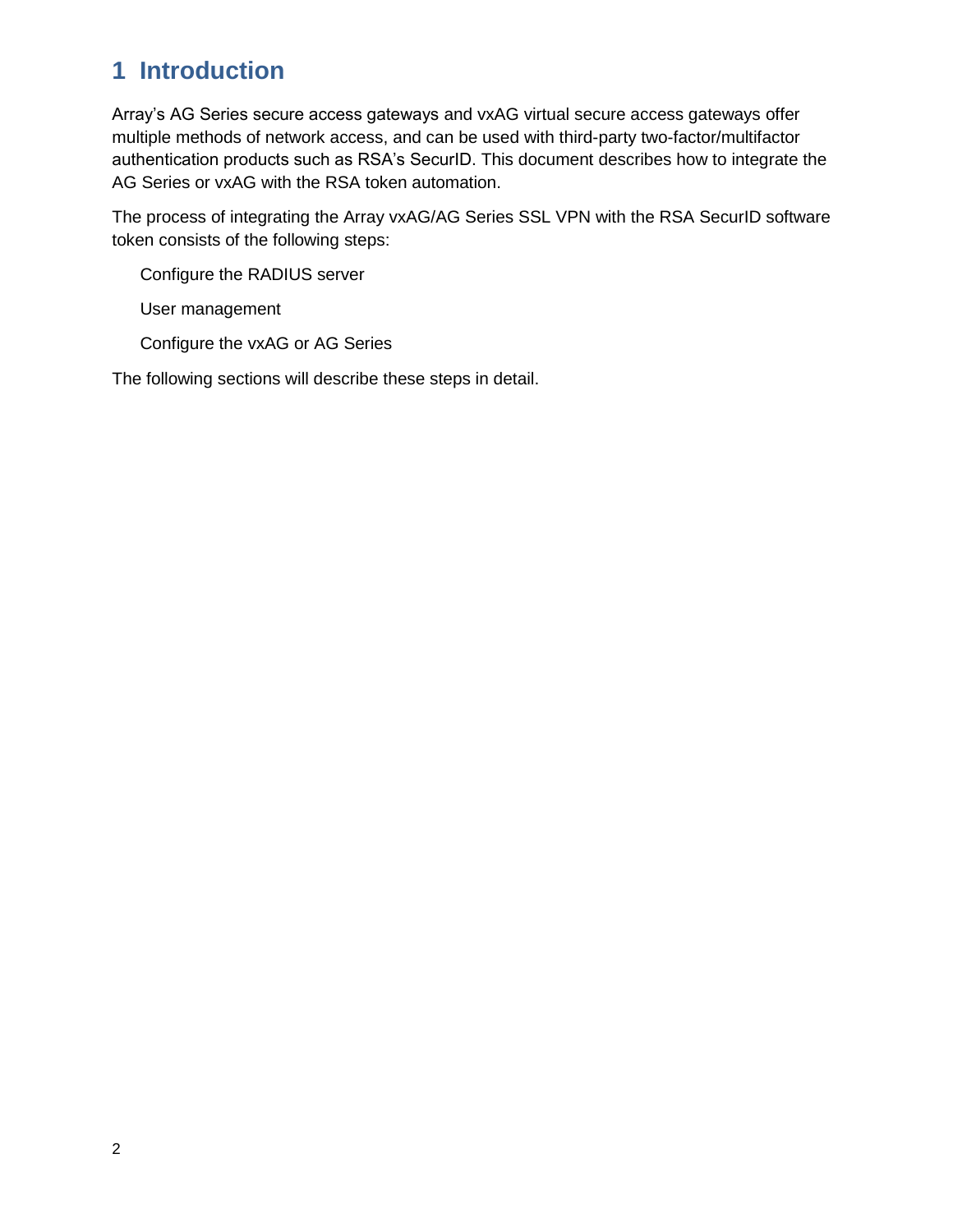## **1 Introduction**

Array's AG Series secure access gateways and vxAG virtual secure access gateways offer multiple methods of network access, and can be used with third-party two-factor/multifactor authentication products such as RSA's SecurID. This document describes how to integrate the AG Series or vxAG with the RSA token automation.

The process of integrating the Array vxAG/AG Series SSL VPN with the RSA SecurID software token consists of the following steps:

Configure the RADIUS server

User management

Configure the vxAG or AG Series

The following sections will describe these steps in detail.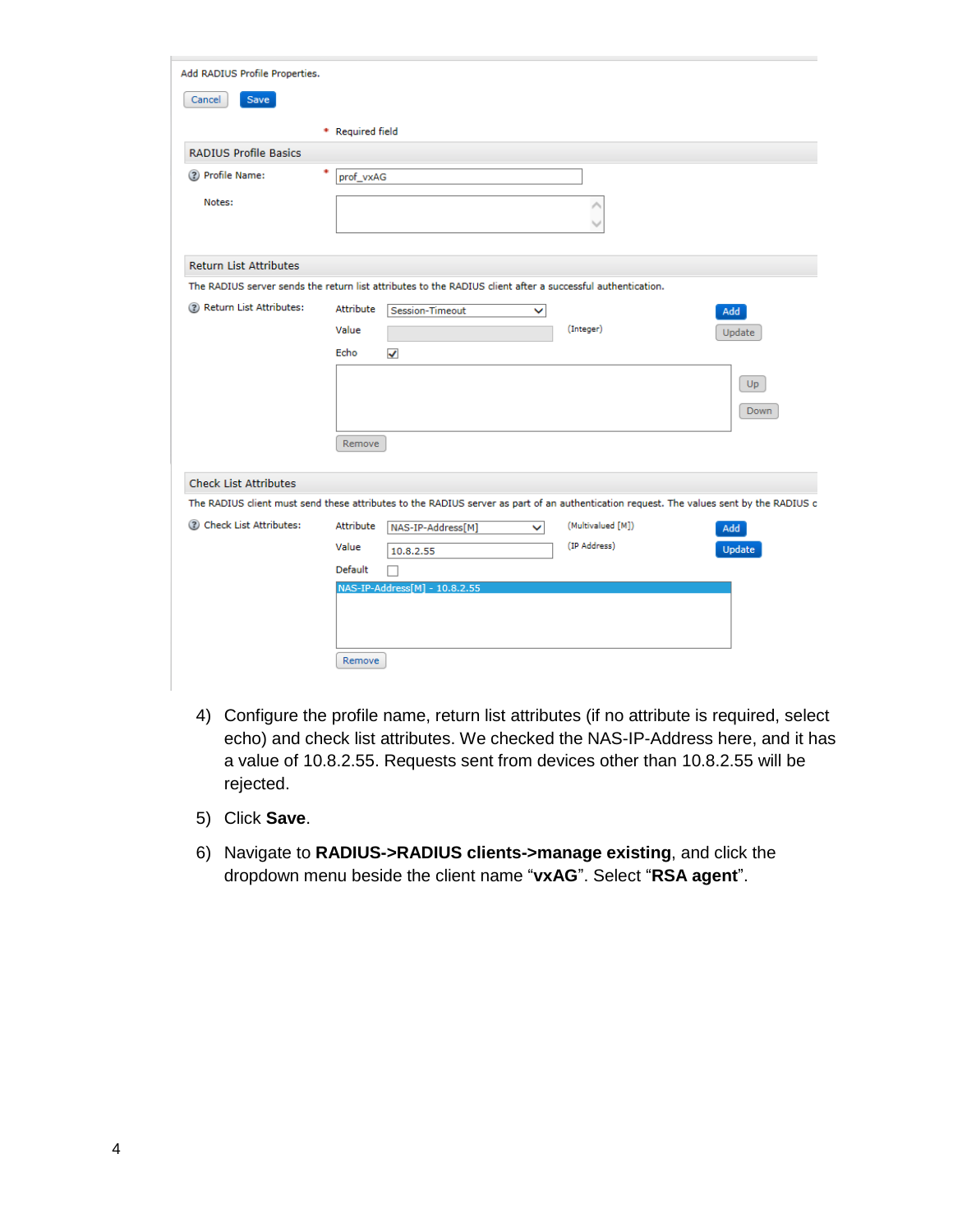| Add RADIUS Profile Properties. |                  |                                                                                                                                         |                   |               |
|--------------------------------|------------------|-----------------------------------------------------------------------------------------------------------------------------------------|-------------------|---------------|
| Save<br>Cancel                 |                  |                                                                                                                                         |                   |               |
|                                | * Required field |                                                                                                                                         |                   |               |
| <b>RADIUS Profile Basics</b>   |                  |                                                                                                                                         |                   |               |
| ? Profile Name:                | prof_vxAG        |                                                                                                                                         |                   |               |
| Notes:                         |                  |                                                                                                                                         |                   |               |
|                                |                  |                                                                                                                                         |                   |               |
|                                |                  |                                                                                                                                         |                   |               |
| <b>Return List Attributes</b>  |                  |                                                                                                                                         |                   |               |
|                                |                  | The RADIUS server sends the return list attributes to the RADIUS client after a successful authentication.                              |                   |               |
| 2 Return List Attributes:      | Attribute        | Session-Timeout<br>◡                                                                                                                    |                   | Add           |
|                                | Value            |                                                                                                                                         | (Integer)         | Update        |
|                                | Echo             | $\checkmark$                                                                                                                            |                   |               |
|                                |                  |                                                                                                                                         |                   | Up.           |
|                                |                  |                                                                                                                                         |                   |               |
|                                |                  |                                                                                                                                         |                   | Down          |
|                                | Remove           |                                                                                                                                         |                   |               |
|                                |                  |                                                                                                                                         |                   |               |
| <b>Check List Attributes</b>   |                  |                                                                                                                                         |                   |               |
|                                |                  | The RADIUS client must send these attributes to the RADIUS server as part of an authentication request. The values sent by the RADIUS c |                   |               |
| 2 Check List Attributes:       | Attribute        | NAS-IP-Address[M]<br>$\checkmark$                                                                                                       | (Multivalued [M]) | Add           |
|                                | Value            | 10.8.2.55                                                                                                                               | (IP Address)      | <b>Update</b> |
|                                | Default          |                                                                                                                                         |                   |               |
|                                |                  | NAS-IP-Address[M] - 10.8.2.55                                                                                                           |                   |               |
|                                |                  |                                                                                                                                         |                   |               |
|                                |                  |                                                                                                                                         |                   |               |
|                                | Remove           |                                                                                                                                         |                   |               |

- 4) Configure the profile name, return list attributes (if no attribute is required, select echo) and check list attributes. We checked the NAS-IP-Address here, and it has a value of 10.8.2.55. Requests sent from devices other than 10.8.2.55 will be rejected.
- 5) Click **Save**.
- 6) Navigate to **RADIUS->RADIUS clients->manage existing**, and click the dropdown menu beside the client name "**vxAG**". Select "**RSA agent**".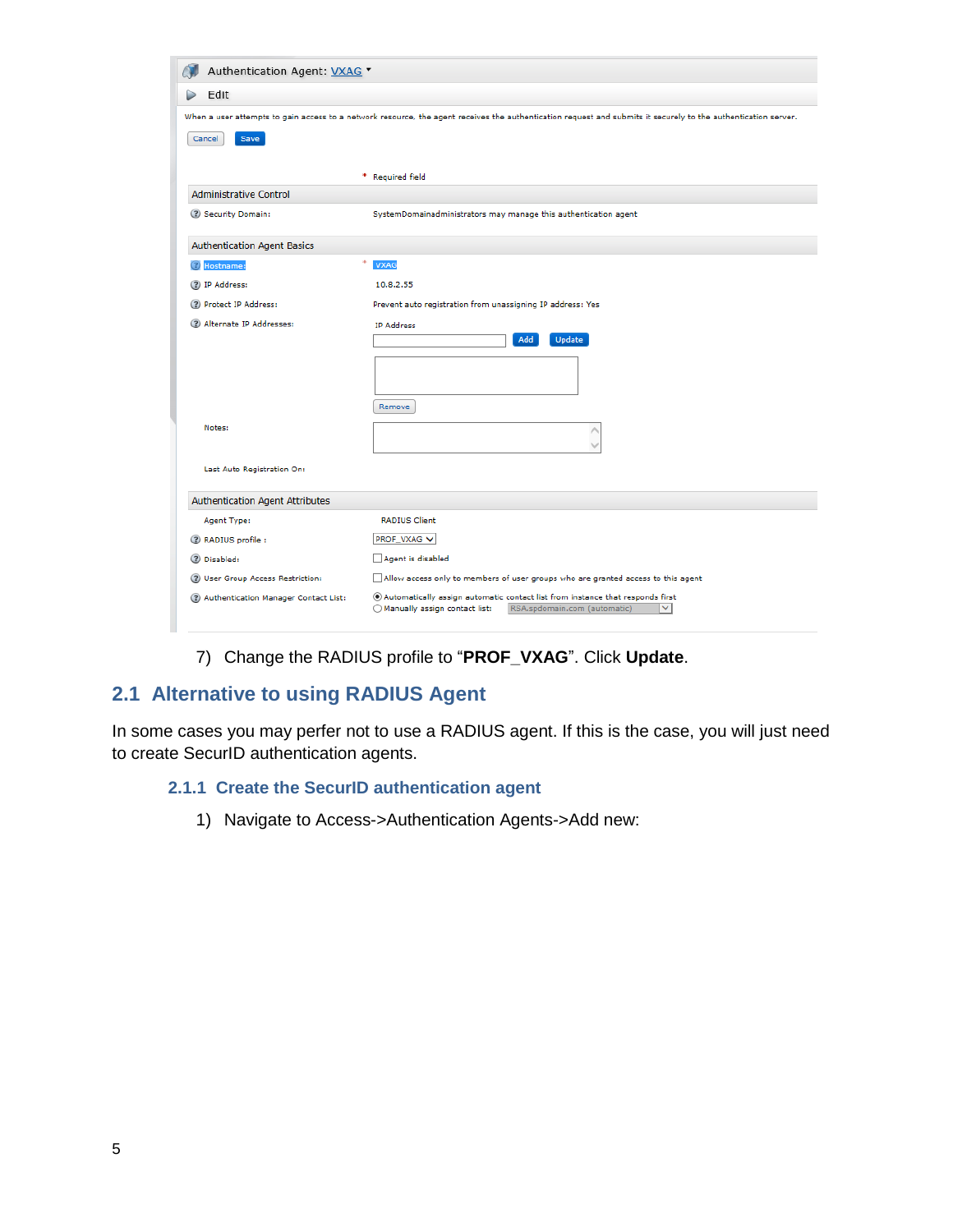| Authentication Agent: VXAG *                                                                                                                                   |                                                                                                                                                                  |  |  |
|----------------------------------------------------------------------------------------------------------------------------------------------------------------|------------------------------------------------------------------------------------------------------------------------------------------------------------------|--|--|
| Edit                                                                                                                                                           |                                                                                                                                                                  |  |  |
| When a user attempts to gain access to a network resource, the agent receives the authentication request and submits it securely to the authentication server. |                                                                                                                                                                  |  |  |
| Save<br>Cancel                                                                                                                                                 |                                                                                                                                                                  |  |  |
|                                                                                                                                                                |                                                                                                                                                                  |  |  |
|                                                                                                                                                                | * Required field                                                                                                                                                 |  |  |
| <b>Administrative Control</b>                                                                                                                                  |                                                                                                                                                                  |  |  |
| ? Security Domain:                                                                                                                                             | SystemDomainadministrators may manage this authentication agent                                                                                                  |  |  |
| <b>Authentication Agent Basics</b>                                                                                                                             |                                                                                                                                                                  |  |  |
| <b>2</b> Hostname:                                                                                                                                             | ۰<br><b>VXAG</b>                                                                                                                                                 |  |  |
| (?) IP Address:                                                                                                                                                | 10.8.2.55                                                                                                                                                        |  |  |
| (?) Protect IP Address:                                                                                                                                        | Prevent auto registration from unassigning IP address: Yes                                                                                                       |  |  |
| (?) Alternate IP Addresses:                                                                                                                                    | IP Address                                                                                                                                                       |  |  |
|                                                                                                                                                                | Update<br><b>Add</b>                                                                                                                                             |  |  |
|                                                                                                                                                                |                                                                                                                                                                  |  |  |
|                                                                                                                                                                |                                                                                                                                                                  |  |  |
|                                                                                                                                                                | Remove                                                                                                                                                           |  |  |
| Notes:                                                                                                                                                         |                                                                                                                                                                  |  |  |
|                                                                                                                                                                |                                                                                                                                                                  |  |  |
| Last Auto Registration On:                                                                                                                                     |                                                                                                                                                                  |  |  |
|                                                                                                                                                                |                                                                                                                                                                  |  |  |
| Authentication Agent Attributes                                                                                                                                |                                                                                                                                                                  |  |  |
| Agent Type:                                                                                                                                                    | <b>RADIUS Client</b>                                                                                                                                             |  |  |
| 2 RADIUS profile :                                                                                                                                             | PROF_VXAG V                                                                                                                                                      |  |  |
| (?) Disabled:                                                                                                                                                  | Agent is disabled                                                                                                                                                |  |  |
| (?) User Group Access Restriction:                                                                                                                             | Allow access only to members of user groups who are granted access to this agent                                                                                 |  |  |
| (?) Authentication Manager Contact List:                                                                                                                       | Automatically assign automatic contact list from instance that responds first<br>◯ Manually assign contact list:<br>RSA.spdomain.com (automatic)<br>$\checkmark$ |  |  |
|                                                                                                                                                                |                                                                                                                                                                  |  |  |

### 7) Change the RADIUS profile to "**PROF\_VXAG**". Click **Update**.

### **2.1 Alternative to using RADIUS Agent**

In some cases you may perfer not to use a RADIUS agent. If this is the case, you will just need to create SecurID authentication agents.

#### **2.1.1 Create the SecurID authentication agent**

1) Navigate to Access->Authentication Agents->Add new: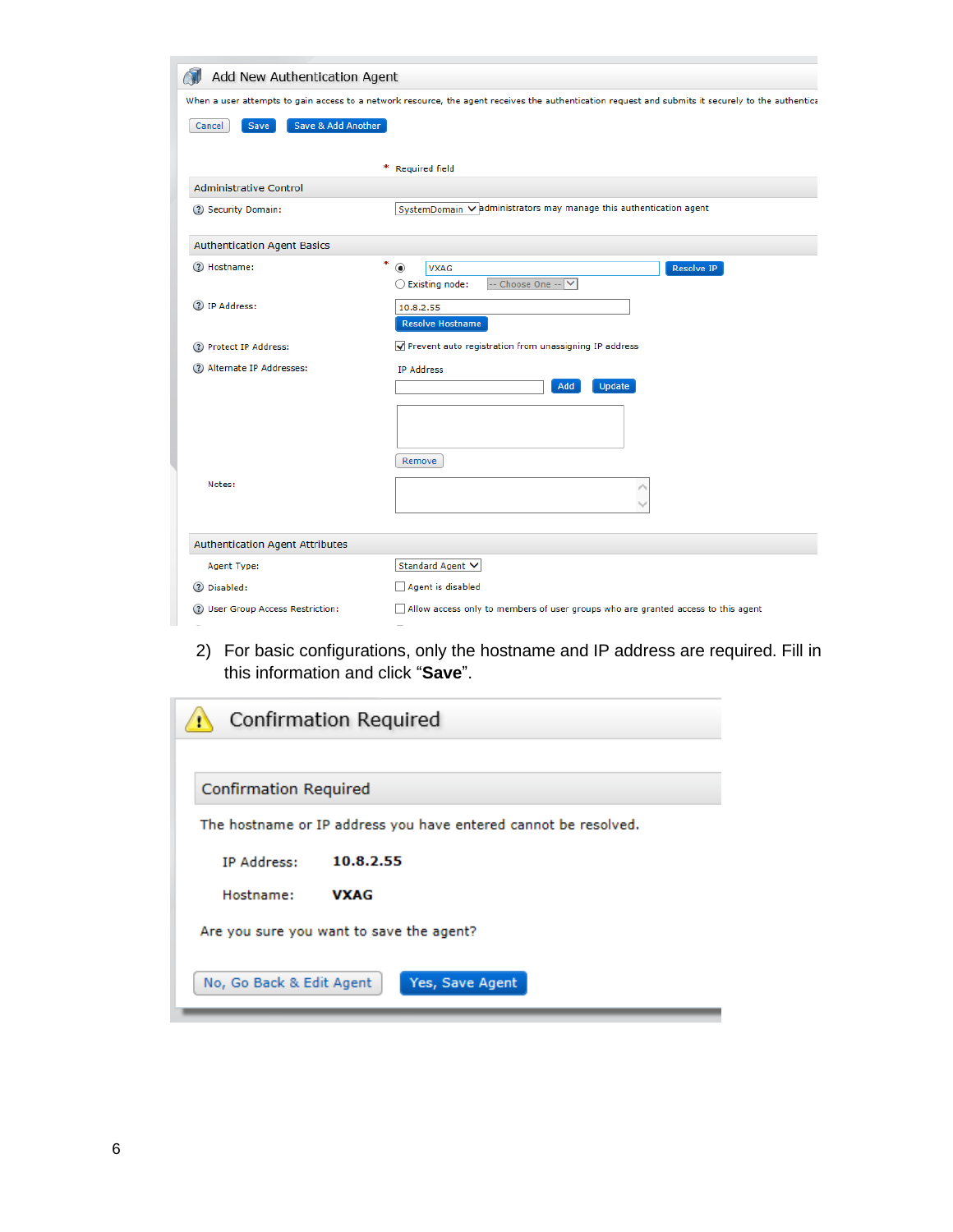| Add New Authentication Agent                                                                                                                       |                                                                                  |  |
|----------------------------------------------------------------------------------------------------------------------------------------------------|----------------------------------------------------------------------------------|--|
| When a user attempts to gain access to a network resource, the agent receives the authentication request and submits it securely to the authentica |                                                                                  |  |
| Save & Add Another<br>Cancel<br>Save                                                                                                               |                                                                                  |  |
|                                                                                                                                                    |                                                                                  |  |
|                                                                                                                                                    | ₩.<br><b>Required field</b>                                                      |  |
| <b>Administrative Control</b>                                                                                                                      |                                                                                  |  |
| ? Security Domain:                                                                                                                                 | SystemDomain V administrators may manage this authentication agent               |  |
| <b>Authentication Agent Basics</b>                                                                                                                 |                                                                                  |  |
| (?) Hostname:                                                                                                                                      | *<br>◉<br><b>VXAG</b><br><b>Resolve IP</b>                                       |  |
|                                                                                                                                                    | -- Choose One --<br>$\bigcirc$ Existing node:<br>$\checkmark$                    |  |
| 2 IP Address:                                                                                                                                      | 10.8.2.55                                                                        |  |
|                                                                                                                                                    | <b>Resolve Hostname</b>                                                          |  |
| ? Protect IP Address:                                                                                                                              | Prevent auto registration from unassigning IP address                            |  |
| (?) Alternate IP Addresses:                                                                                                                        | <b>IP Address</b>                                                                |  |
|                                                                                                                                                    | Add<br><b>Update</b>                                                             |  |
|                                                                                                                                                    |                                                                                  |  |
|                                                                                                                                                    |                                                                                  |  |
|                                                                                                                                                    | Remove                                                                           |  |
| Notes:                                                                                                                                             |                                                                                  |  |
|                                                                                                                                                    |                                                                                  |  |
|                                                                                                                                                    |                                                                                  |  |
| <b>Authentication Agent Attributes</b>                                                                                                             |                                                                                  |  |
| Agent Type:                                                                                                                                        | Standard Agent V                                                                 |  |
| (?) Disabled:                                                                                                                                      | Agent is disabled                                                                |  |
| (?) User Group Access Restriction:                                                                                                                 | Allow access only to members of user groups who are granted access to this agent |  |

2) For basic configurations, only the hostname and IP address are required. Fill in this information and click "**Save**".

| Confirmation Required                                           |  |  |
|-----------------------------------------------------------------|--|--|
|                                                                 |  |  |
| <b>Confirmation Required</b>                                    |  |  |
| The hostname or IP address you have entered cannot be resolved. |  |  |
| 10.8.2.55<br><b>IP Address:</b>                                 |  |  |
| Hostname:<br><b>VXAG</b>                                        |  |  |
| Are you sure you want to save the agent?                        |  |  |
| No, Go Back & Edit Agent<br>Yes, Save Agent                     |  |  |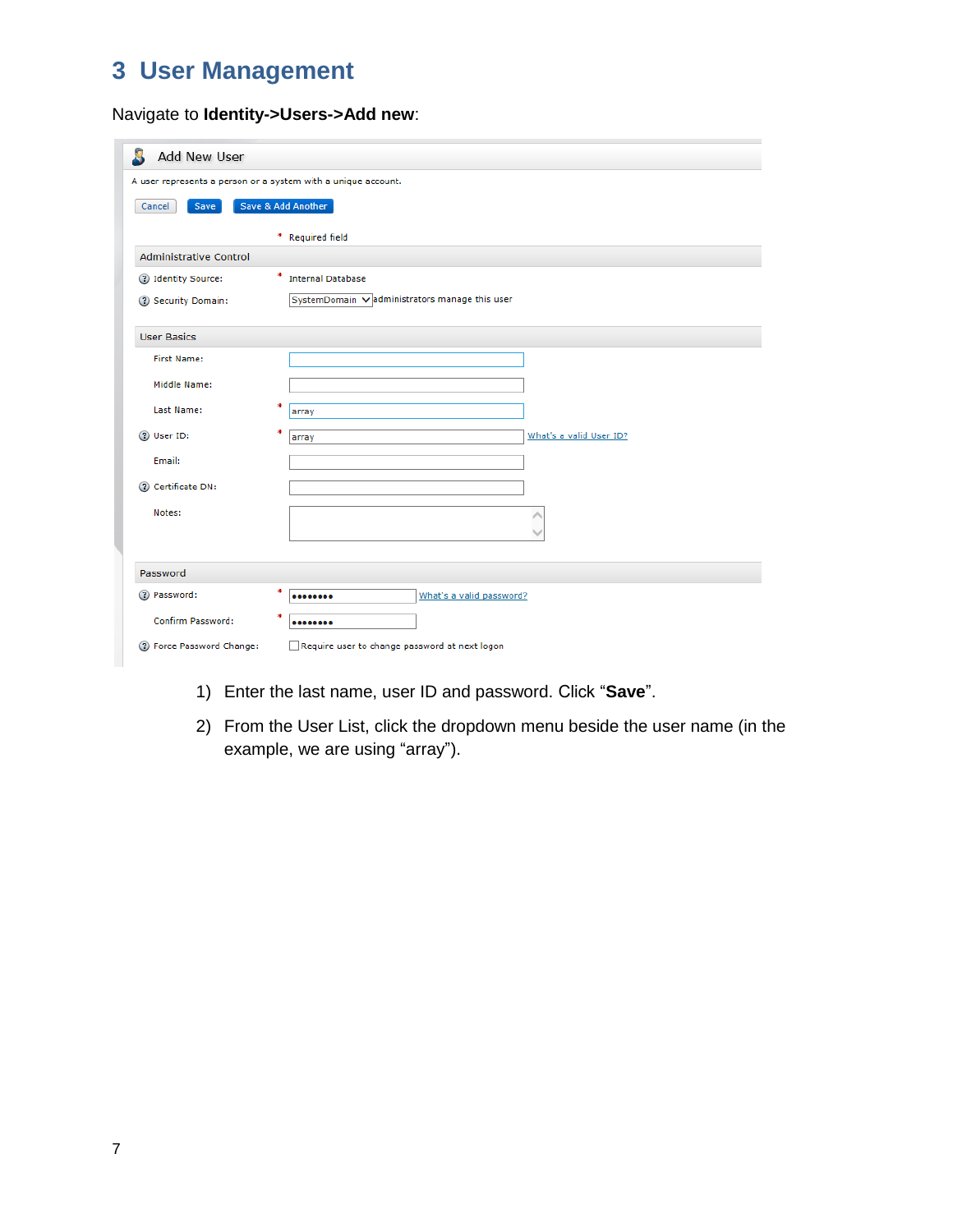# **3 User Management**

### Navigate to **Identity->Users->Add new**:

| Add New User                                                  |                                               |  |  |  |
|---------------------------------------------------------------|-----------------------------------------------|--|--|--|
| A user represents a person or a system with a unique account. |                                               |  |  |  |
| Cancel<br>Save                                                | Save & Add Another                            |  |  |  |
|                                                               | * Required field                              |  |  |  |
| <b>Administrative Control</b>                                 |                                               |  |  |  |
| ? Identity Source:                                            | ۰.<br><b>Internal Database</b>                |  |  |  |
| 2 Security Domain:                                            | SystemDomain Vadministrators manage this user |  |  |  |
| <b>User Basics</b>                                            |                                               |  |  |  |
| <b>First Name:</b>                                            |                                               |  |  |  |
| Middle Name:                                                  |                                               |  |  |  |
| Last Name:                                                    | *<br>array                                    |  |  |  |
| (?) User ID:                                                  | *<br>What's a valid User ID?<br>array         |  |  |  |
| Email:                                                        |                                               |  |  |  |
| (?) Certificate DN:                                           |                                               |  |  |  |
| Notes:                                                        | ∧                                             |  |  |  |
|                                                               |                                               |  |  |  |
| Password                                                      |                                               |  |  |  |
| 2 Password:                                                   | *<br>What's a valid password?<br>             |  |  |  |
| Confirm Password:                                             | *<br>                                         |  |  |  |
| (?) Force Password Change:                                    | Require user to change password at next logon |  |  |  |

- 1) Enter the last name, user ID and password. Click "**Save**".
- 2) From the User List, click the dropdown menu beside the user name (in the example, we are using "array").